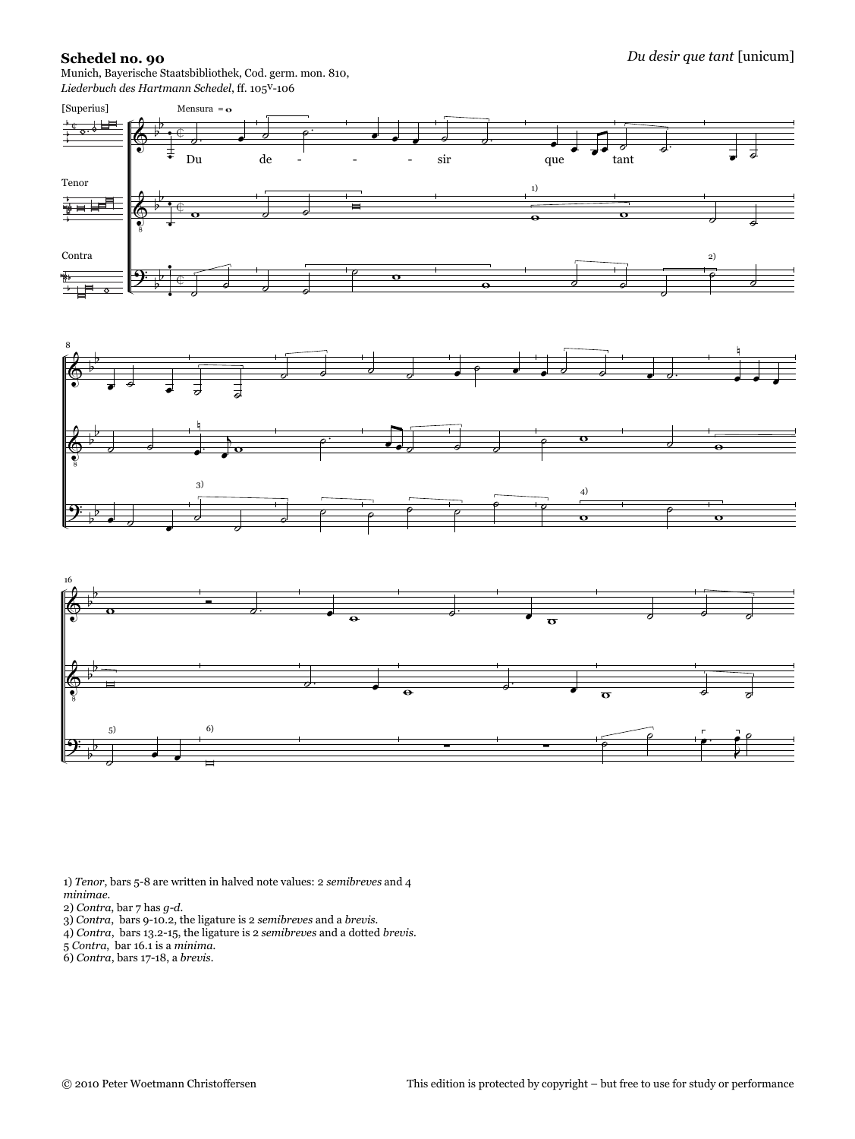## **Schedel no. 90**

Munich, Bayerische Staatsbibliothek, Cod. germ. mon. 810, *Liederbuch des Hartmann Schedel*, ff. 105v-106







1) *Tenor*, bars 5-8 are written in halved note values: 2 *semibreves* and 4 *minimae.*

- 3) *Contra*, bars 9-10.2, the ligature is 2 *semibreves* and a *brevis.*
- 4) *Contra*, bars 13.2-15, the ligature is 2 *semibreves* and a dotted *brevis.*
- 5 *Contra*, bar 16.1 is a *minima.*
- 6) *Contra*, bars 17-18, a *brevis.*

<sup>2)</sup> *Contra*, bar 7 has *g-d.*